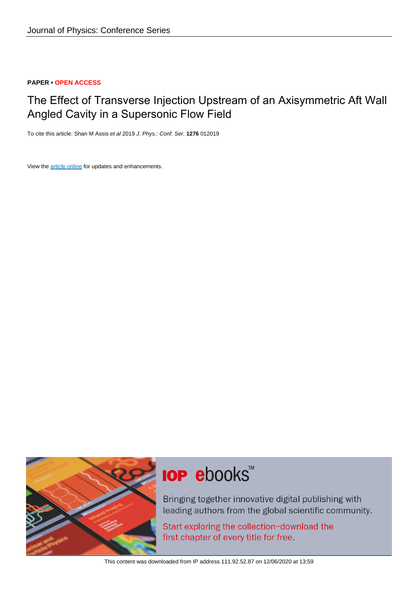### **PAPER • OPEN ACCESS**

## The Effect of Transverse Injection Upstream of an Axisymmetric Aft Wall Angled Cavity in a Supersonic Flow Field

To cite this article: Shan M Assis et al 2019 J. Phys.: Conf. Ser. **1276** 012019

View the [article online](https://doi.org/10.1088/1742-6596/1276/1/012019) for updates and enhancements.



# **IOP ebooks™**

Bringing together innovative digital publishing with leading authors from the global scientific community.

Start exploring the collection-download the first chapter of every title for free.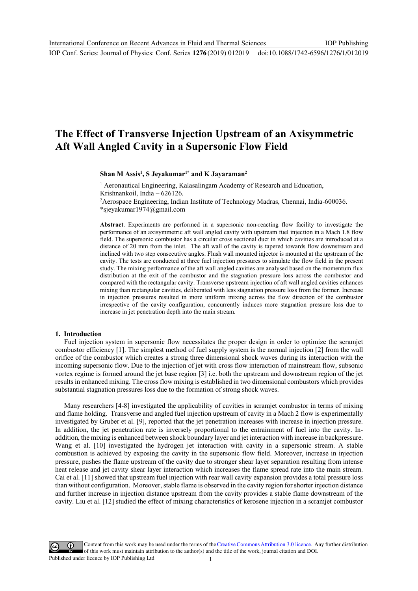IOP Conf. Series: Journal of Physics: Conf. Series **1276** (2019) 012019 doi:10.1088/1742-6596/1276/1/012019

## **The Effect of Transverse Injection Upstream of an Axisymmetric Aft Wall Angled Cavity in a Supersonic Flow Field**

Shan M Assis<sup>1</sup>, S Jeyakumar<sup>1\*</sup> and K Jayaraman<sup>2</sup>

<sup>1</sup> Aeronautical Engineering, Kalasalingam Academy of Research and Education, Krishnankoil, India – 626126. 2

Aerospace Engineering, Indian Institute of Technology Madras, Chennai, India-600036.

\*sjeyakumar1974@gmail.com

**Abstract**. Experiments are performed in a supersonic non-reacting flow facility to investigate the performance of an axisymmetric aft wall angled cavity with upstream fuel injection in a Mach 1.8 flow field. The supersonic combustor has a circular cross sectional duct in which cavities are introduced at a distance of 20 mm from the inlet. The aft wall of the cavity is tapered towards flow downstream and inclined with two step consecutive angles. Flush wall mounted injector is mounted at the upstream of the cavity. The tests are conducted at three fuel injection pressures to simulate the flow field in the present study. The mixing performance of the aft wall angled cavities are analysed based on the momentum flux distribution at the exit of the combustor and the stagnation pressure loss across the combustor and compared with the rectangular cavity. Transverse upstream injection of aft wall angled cavities enhances mixing than rectangular cavities, deliberated with less stagnation pressure loss from the former. Increase in injection pressures resulted in more uniform mixing across the flow direction of the combustor irrespective of the cavity configuration, concurrently induces more stagnation pressure loss due to increase in jet penetration depth into the main stream.

#### **1. Introduction**

Fuel injection system in supersonic flow necessitates the proper design in order to optimize the scramjet combustor efficiency [1]. The simplest method of fuel supply system is the normal injection [2] from the wall orifice of the combustor which creates a strong three dimensional shock waves during its interaction with the incoming supersonic flow. Due to the injection of jet with cross flow interaction of mainstream flow, subsonic vortex regime is formed around the jet base region [3] i.e. both the upstream and downstream region of the jet results in enhanced mixing. The cross flow mixing is established in two dimensional combustors which provides substantial stagnation pressures loss due to the formation of strong shock waves.

Many researchers [4-8] investigated the applicability of cavities in scramjet combustor in terms of mixing and flame holding. Transverse and angled fuel injection upstream of cavity in a Mach 2 flow is experimentally investigated by Gruber et al. [9], reported that the jet penetration increases with increase in injection pressure. In addition, the jet penetration rate is inversely proportional to the entrainment of fuel into the cavity. Inaddition, the mixing is enhanced between shock boundary layer and jet interaction with increase in backpressure. Wang et al. [10] investigated the hydrogen jet interaction with cavity in a supersonic stream. A stable combustion is achieved by exposing the cavity in the supersonic flow field. Moreover, increase in injection pressure, pushes the flame upstream of the cavity due to stronger shear layer separation resulting from intense heat release and jet cavity shear layer interaction which increases the flame spread rate into the main stream. Cai et al. [11] showed that upstream fuel injection with rear wall cavity expansion provides a total pressure loss than without configuration. Moreover, stable flame is observed in the cavity region for shorter injection distance and further increase in injection distance upstream from the cavity provides a stable flame downstream of the cavity. Liu et al. [12] studied the effect of mixing characteristics of kerosene injection in a scramjet combustor

Content from this work may be used under the terms of theCreative Commons Attribution 3.0 licence. Any further distribution of this work must maintain attribution to the author(s) and the title of the work, journal citation and DOI. Published under licence by IOP Publishing Ltd 1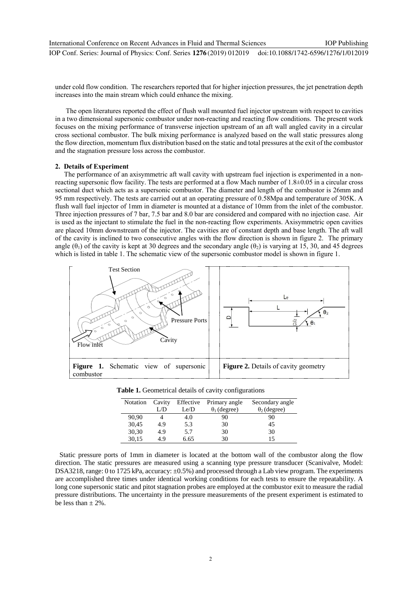under cold flow condition. The researchers reported that for higher injection pressures, the jet penetration depth increases into the main stream which could enhance the mixing.

 The open literatures reported the effect of flush wall mounted fuel injector upstream with respect to cavities in a two dimensional supersonic combustor under non-reacting and reacting flow conditions. The present work focuses on the mixing performance of transverse injection upstream of an aft wall angled cavity in a circular cross sectional combustor. The bulk mixing performance is analyzed based on the wall static pressures along the flow direction, momentum flux distribution based on the static and total pressures at the exit of the combustor and the stagnation pressure loss across the combustor.

#### **2. Details of Experiment**

The performance of an axisymmetric aft wall cavity with upstream fuel injection is experimented in a nonreacting supersonic flow facility. The tests are performed at a flow Mach number of 1.8±0.05 in a circular cross sectional duct which acts as a supersonic combustor. The diameter and length of the combustor is 26mm and 95 mm respectively. The tests are carried out at an operating pressure of 0.58Mpa and temperature of 305K. A flush wall fuel injector of 1mm in diameter is mounted at a distance of 10mm from the inlet of the combustor. Three injection pressures of 7 bar, 7.5 bar and 8.0 bar are considered and compared with no injection case. Air is used as the injectant to stimulate the fuel in the non-reacting flow experiments. Axisymmetric open cavities are placed 10mm downstream of the injector. The cavities are of constant depth and base length. The aft wall of the cavity is inclined to two consecutive angles with the flow direction is shown in figure 2. The primary angle  $(\theta_1)$  of the cavity is kept at 30 degrees and the secondary angle  $(\theta_2)$  is varying at 15, 30, and 45 degrees which is listed in table 1. The schematic view of the supersonic combustor model is shown in figure 1.



| Notation Cavity |     | Effective | Primary angle       | Secondary angle     |
|-----------------|-----|-----------|---------------------|---------------------|
|                 | L/D | Le/D      | $\theta_1$ (degree) | $\theta_2$ (degree) |
| 90,90           |     | 4.0       | 90                  | 90                  |
| 30,45           | 4.9 | 5.3       | 30                  | 45                  |
| 30,30           | 4.9 | 5.7       | 30                  | 30                  |

30,15 4.9 6.65 30 15

**Table 1.** Geometrical details of cavity configurations

Static pressure ports of 1mm in diameter is located at the bottom wall of the combustor along the flow direction. The static pressures are measured using a scanning type pressure transducer (Scanivalve, Model: DSA3218, range: 0 to 1725 kPa, accuracy: ±0.5%) and processed through a Lab view program. The experiments are accomplished three times under identical working conditions for each tests to ensure the repeatability. A long cone supersonic static and pitot stagnation probes are employed at the combustor exit to measure the radial pressure distributions. The uncertainty in the pressure measurements of the present experiment is estimated to be less than  $\pm$  2%.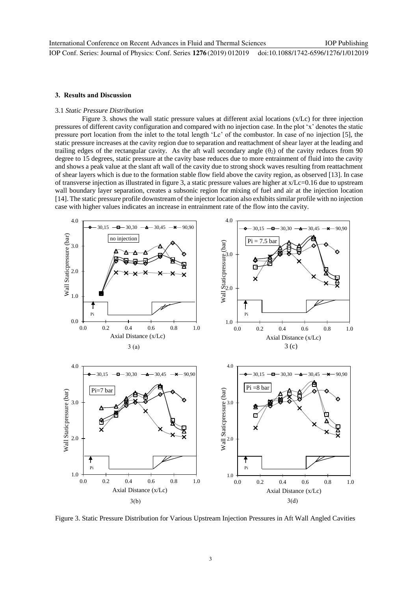#### **3. Results and Discussion**

#### 3.1 *Static Pressure Distribution*

Figure 3. shows the wall static pressure values at different axial locations (x/Lc) for three injection pressures of different cavity configuration and compared with no injection case. In the plot 'x' denotes the static pressure port location from the inlet to the total length 'Lc' of the combustor. In case of no injection [5], the static pressure increases at the cavity region due to separation and reattachment of shear layer at the leading and trailing edges of the rectangular cavity. As the aft wall secondary angle  $(\theta_2)$  of the cavity reduces from 90 degree to 15 degrees, static pressure at the cavity base reduces due to more entrainment of fluid into the cavity and shows a peak value at the slant aft wall of the cavity due to strong shock waves resulting from reattachment of shear layers which is due to the formation stable flow field above the cavity region, as observed [13]. In case of transverse injection as illustrated in figure 3, a static pressure values are higher at x/Lc=0.16 due to upstream wall boundary layer separation, creates a subsonic region for mixing of fuel and air at the injection location [14]. The static pressure profile downstream of the injector location also exhibits similar profile with no injection case with higher values indicates an increase in entrainment rate of the flow into the cavity.



Figure 3. Static Pressure Distribution for Various Upstream Injection Pressures in Aft Wall Angled Cavities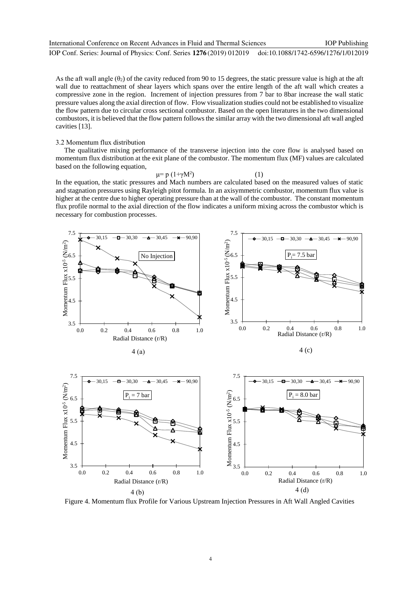As the aft wall angle  $(\theta_2)$  of the cavity reduced from 90 to 15 degrees, the static pressure value is high at the aft wall due to reattachment of shear layers which spans over the entire length of the aft wall which creates a compressive zone in the region. Increment of injection pressures from 7 bar to 8bar increase the wall static pressure values along the axial direction of flow. Flow visualization studies could not be established to visualize the flow pattern due to circular cross sectional combustor. Based on the open literatures in the two dimensional combustors, it is believed that the flow pattern follows the similar array with the two dimensional aft wall angled cavities [13].

#### 3.2 Momentum flux distribution

The qualitative mixing performance of the transverse injection into the core flow is analysed based on momentum flux distribution at the exit plane of the combustor. The momentum flux (MF) values are calculated based on the following equation,

#### $μ = p (1+γM<sup>2</sup>)$ ) (1)

In the equation, the static pressures and Mach numbers are calculated based on the measured values of static and stagnation pressures using Rayleigh pitot formula. In an axisymmetric combustor, momentum flux value is higher at the centre due to higher operating pressure than at the wall of the combustor. The constant momentum flux profile normal to the axial direction of the flow indicates a uniform mixing across the combustor which is necessary for combustion processes.



Figure 4. Momentum flux Profile for Various Upstream Injection Pressures in Aft Wall Angled Cavities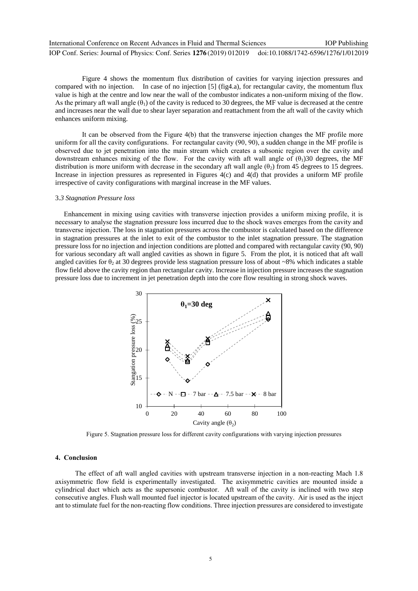| International Conference on Recent Advances in Fluid and Thermal Sciences                                 | <b>IOP</b> Publishing |
|-----------------------------------------------------------------------------------------------------------|-----------------------|
| IOP Conf. Series: Journal of Physics: Conf. Series 1276 (2019) 012019 doi:10.1088/1742-6596/1276/1/012019 |                       |

Figure 4 shows the momentum flux distribution of cavities for varying injection pressures and compared with no injection. In case of no injection [5] (fig4.a), for rectangular cavity, the momentum flux value is high at the centre and low near the wall of the combustor indicates a non-uniform mixing of the flow. As the primary aft wall angle  $(\theta_1)$  of the cavity is reduced to 30 degrees, the MF value is decreased at the centre and increases near the wall due to shear layer separation and reattachment from the aft wall of the cavity which enhances uniform mixing.

 It can be observed from the Figure 4(b) that the transverse injection changes the MF profile more uniform for all the cavity configurations. For rectangular cavity (90, 90), a sudden change in the MF profile is observed due to jet penetration into the main stream which creates a subsonic region over the cavity and downstream enhances mixing of the flow. For the cavity with aft wall angle of  $(\theta_1)30$  degrees, the MF distribution is more uniform with decrease in the secondary aft wall angle  $(\theta_2)$  from 45 degrees to 15 degrees. Increase in injection pressures as represented in Figures 4(c) and 4(d) that provides a uniform MF profile irrespective of cavity configurations with marginal increase in the MF values.

#### 3.*3 Stagnation Pressure loss*

 Enhancement in mixing using cavities with transverse injection provides a uniform mixing profile, it is necessary to analyse the stagnation pressure loss incurred due to the shock waves emerges from the cavity and transverse injection. The loss in stagnation pressures across the combustor is calculated based on the difference in stagnation pressures at the inlet to exit of the combustor to the inlet stagnation pressure. The stagnation pressure loss for no injection and injection conditions are plotted and compared with rectangular cavity (90, 90) for various secondary aft wall angled cavities as shown in figure 5. From the plot, it is noticed that aft wall angled cavities for  $\theta_2$  at 30 degrees provide less stagnation pressure loss of about ~8% which indicates a stable flow field above the cavity region than rectangular cavity. Increase in injection pressure increases the stagnation pressure loss due to increment in jet penetration depth into the core flow resulting in strong shock waves.



Figure 5. Stagnation pressure loss for different cavity configurations with varying injection pressures

#### **4. Conclusion**

The effect of aft wall angled cavities with upstream transverse injection in a non-reacting Mach 1.8 axisymmetric flow field is experimentally investigated. The axisymmetric cavities are mounted inside a cylindrical duct which acts as the supersonic combustor. Aft wall of the cavity is inclined with two step consecutive angles. Flush wall mounted fuel injector is located upstream of the cavity. Air is used as the inject ant to stimulate fuel for the non-reacting flow conditions. Three injection pressures are considered to investigate